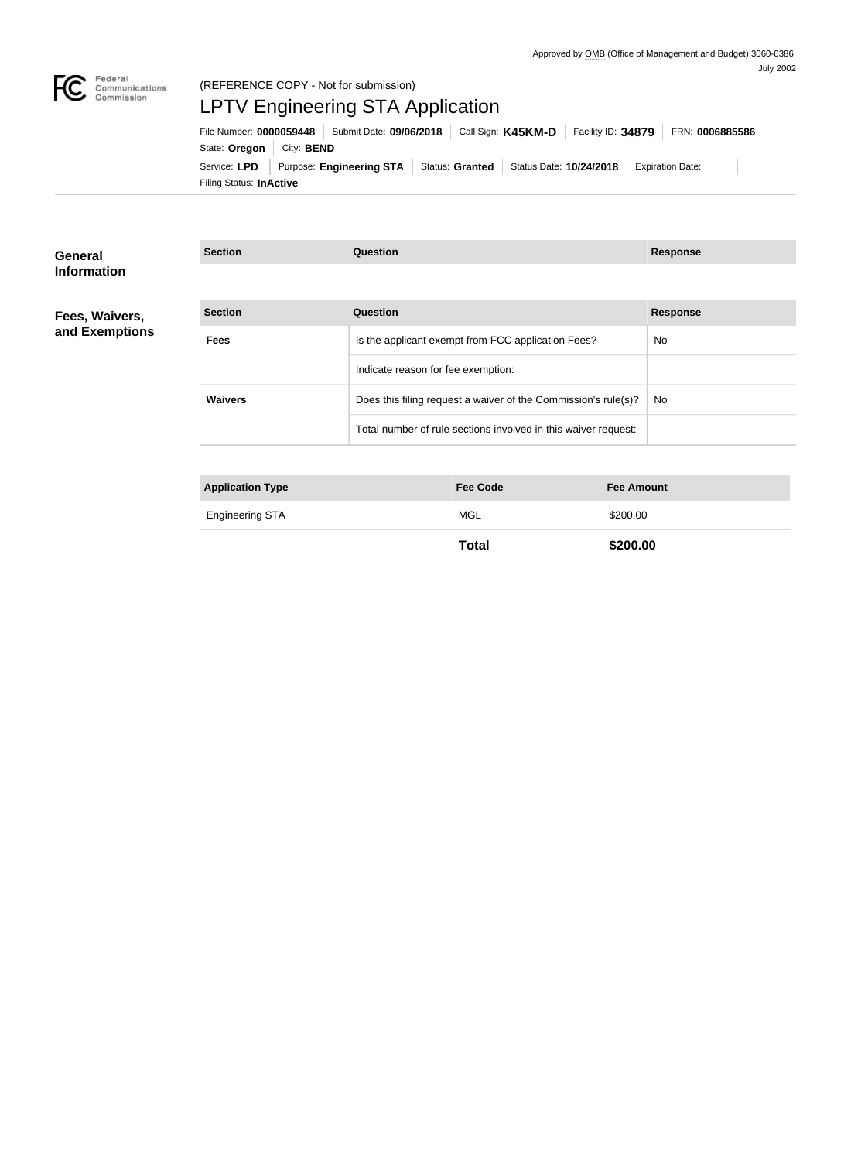

# (REFERENCE COPY - Not for submission) LPTV Engineering STA Application

Filing Status: **InActive** Service: LPD Purpose: Engineering STA Status: Granted Status Date: 10/24/2018 Expiration Date: State: Oregon | City: BEND File Number: **0000059448** Submit Date: **09/06/2018** Call Sign: **K45KM-D** Facility ID: **34879** FRN: **0006885586**

| <b>Section</b><br><b>Question</b><br><b>Response</b><br>Fees, Waivers,                    |  |
|-------------------------------------------------------------------------------------------|--|
| and Exemptions<br>Is the applicant exempt from FCC application Fees?<br>No<br><b>Fees</b> |  |
| Indicate reason for fee exemption:                                                        |  |
| <b>Waivers</b><br>Does this filing request a waiver of the Commission's rule(s)?<br>No.   |  |
| Total number of rule sections involved in this waiver request:                            |  |
|                                                                                           |  |
| <b>Fee Code</b><br><b>Application Type</b><br><b>Fee Amount</b>                           |  |

| Frainceston<br> | ᠕ | 00.00 |  |
|-----------------|---|-------|--|
|                 |   |       |  |

**Total \$200.00**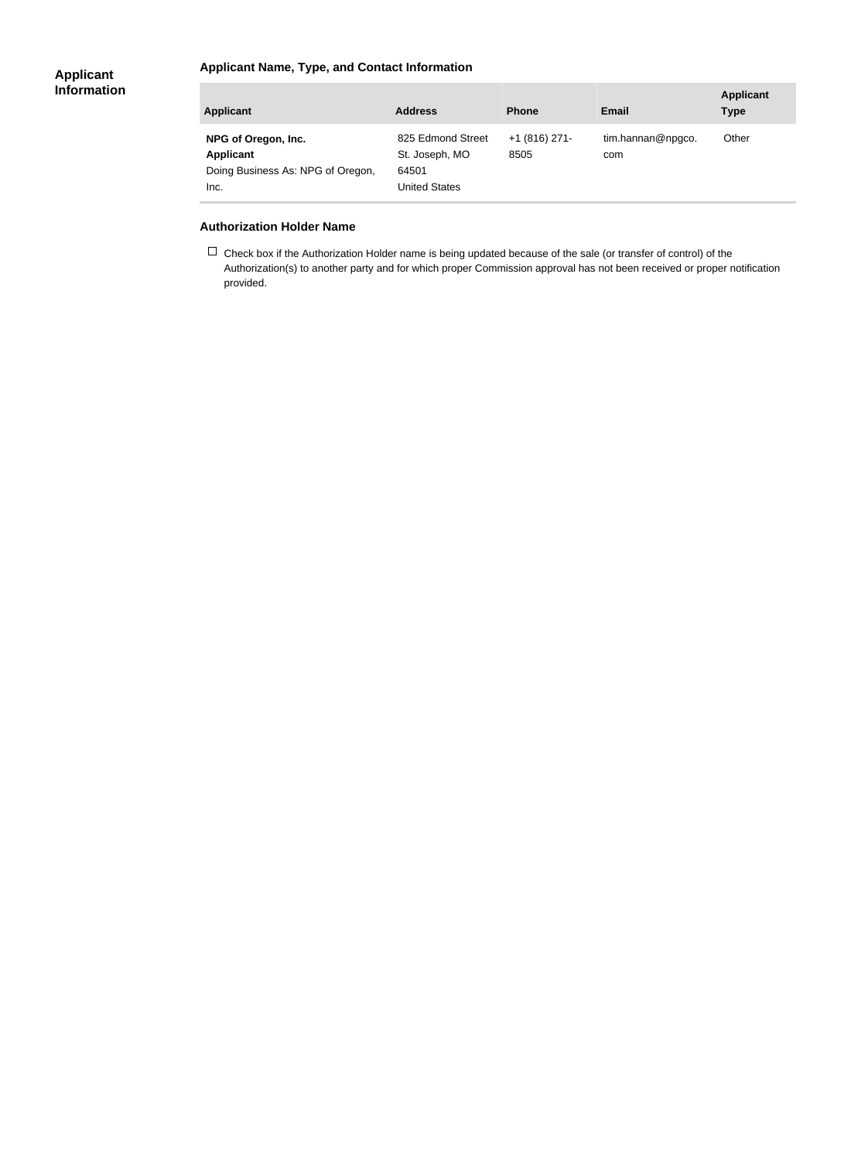### **Applicant Name, Type, and Contact Information**

| <b>Applicant</b>                                                              | <b>Address</b>                                                       | <b>Phone</b>            | Email                    | <b>Applicant</b><br><b>Type</b> |
|-------------------------------------------------------------------------------|----------------------------------------------------------------------|-------------------------|--------------------------|---------------------------------|
| NPG of Oregon, Inc.<br>Applicant<br>Doing Business As: NPG of Oregon,<br>Inc. | 825 Edmond Street<br>St. Joseph, MO<br>64501<br><b>United States</b> | $+1$ (816) 271-<br>8505 | tim.hannan@npgco.<br>com | Other                           |

#### **Authorization Holder Name**

 $\Box$  Check box if the Authorization Holder name is being updated because of the sale (or transfer of control) of the Authorization(s) to another party and for which proper Commission approval has not been received or proper notification provided.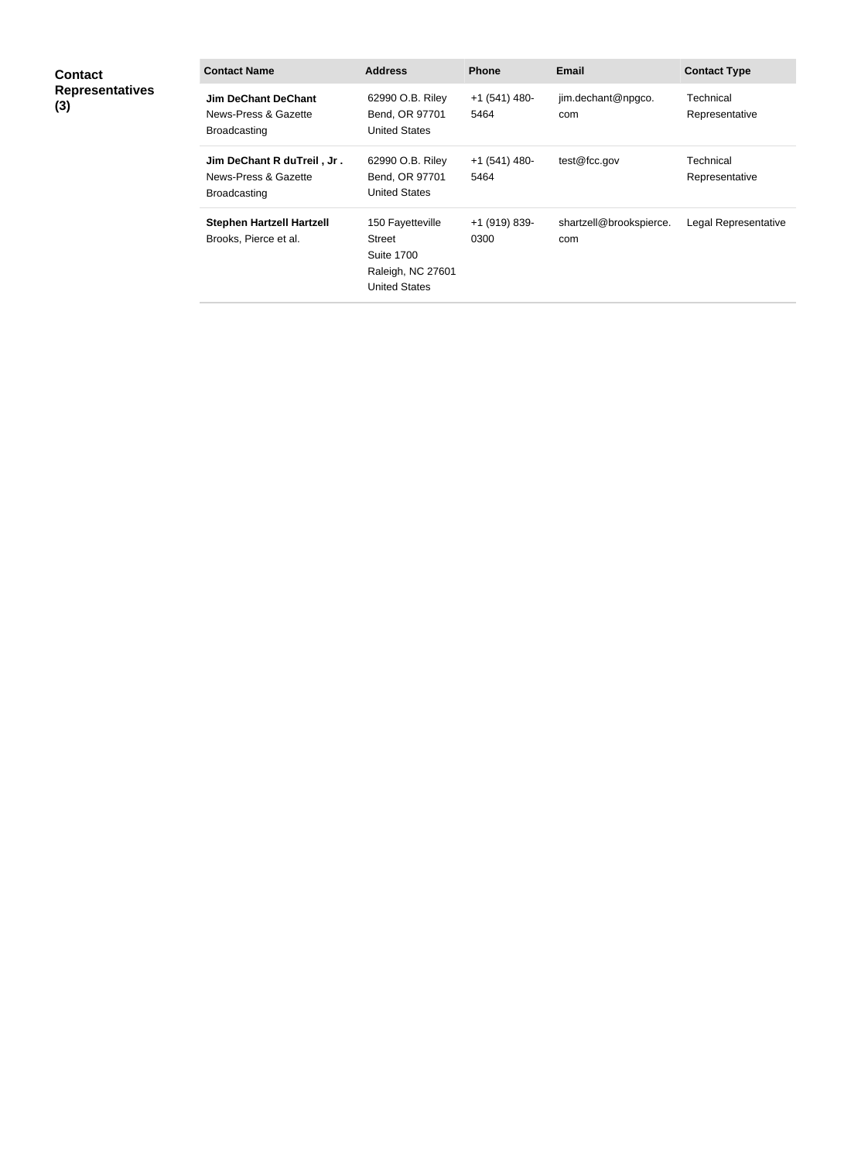| <b>Contact</b><br><b>Representatives</b><br>(3) | <b>Contact Name</b>                                                       | <b>Address</b>                                                                               | <b>Phone</b>           | <b>Email</b>                   | <b>Contact Type</b>         |
|-------------------------------------------------|---------------------------------------------------------------------------|----------------------------------------------------------------------------------------------|------------------------|--------------------------------|-----------------------------|
|                                                 | Jim DeChant DeChant<br>News-Press & Gazette<br><b>Broadcasting</b>        | 62990 O.B. Riley<br>Bend, OR 97701<br><b>United States</b>                                   | $+1(541)$ 480-<br>5464 | jim.dechant@npgco.<br>com      | Technical<br>Representative |
|                                                 | Jim DeChant R duTreil, Jr.<br>News-Press & Gazette<br><b>Broadcasting</b> | 62990 O.B. Riley<br>Bend, OR 97701<br><b>United States</b>                                   | $+1(541)$ 480-<br>5464 | test@fcc.gov                   | Technical<br>Representative |
|                                                 | <b>Stephen Hartzell Hartzell</b><br>Brooks, Pierce et al.                 | 150 Fayetteville<br>Street<br><b>Suite 1700</b><br>Raleigh, NC 27601<br><b>United States</b> | +1 (919) 839-<br>0300  | shartzell@brookspierce.<br>com | Legal Representative        |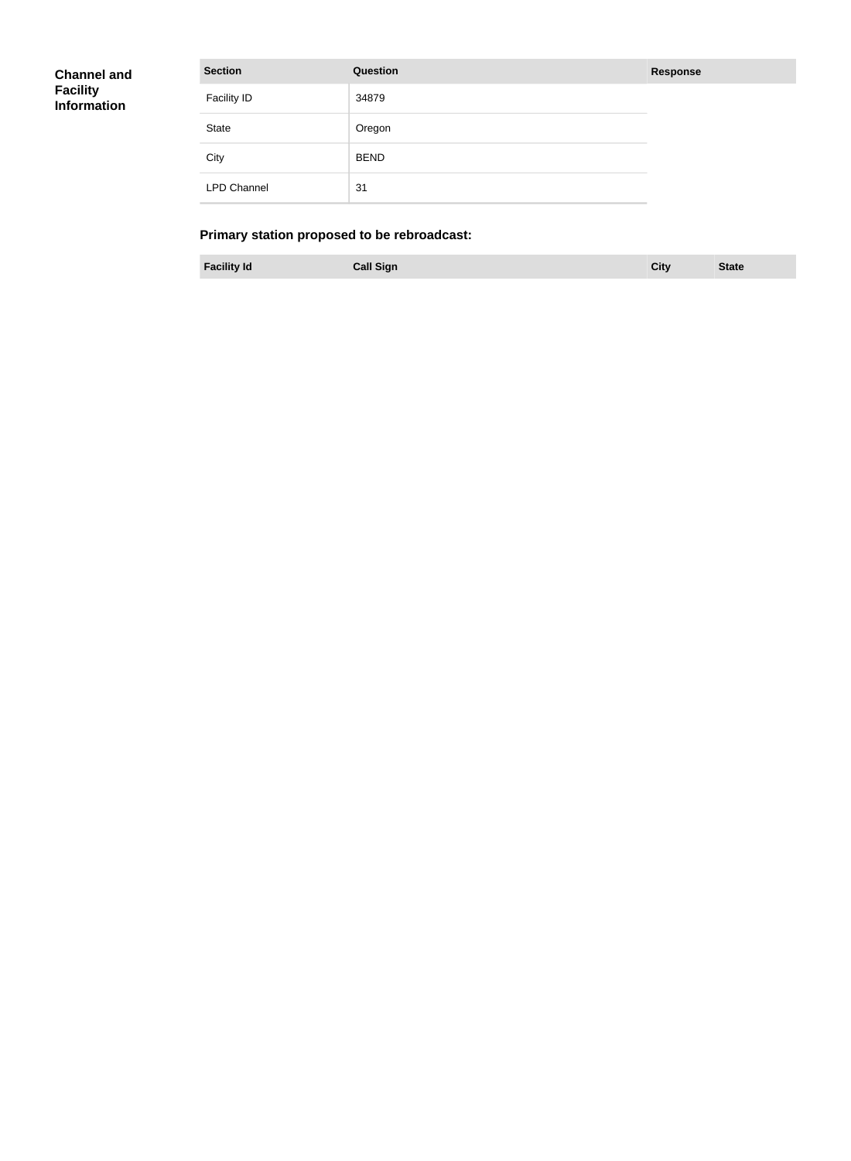| <b>Channel and</b><br>Facility<br>Information | <b>Section</b>     | Question    | <b>Response</b> |
|-----------------------------------------------|--------------------|-------------|-----------------|
|                                               | <b>Facility ID</b> | 34879       |                 |
|                                               | <b>State</b>       | Oregon      |                 |
|                                               | City               | <b>BEND</b> |                 |
|                                               | <b>LPD Channel</b> | 31          |                 |

## **Primary station proposed to be rebroadcast:**

**Facility Id Call Sign City State**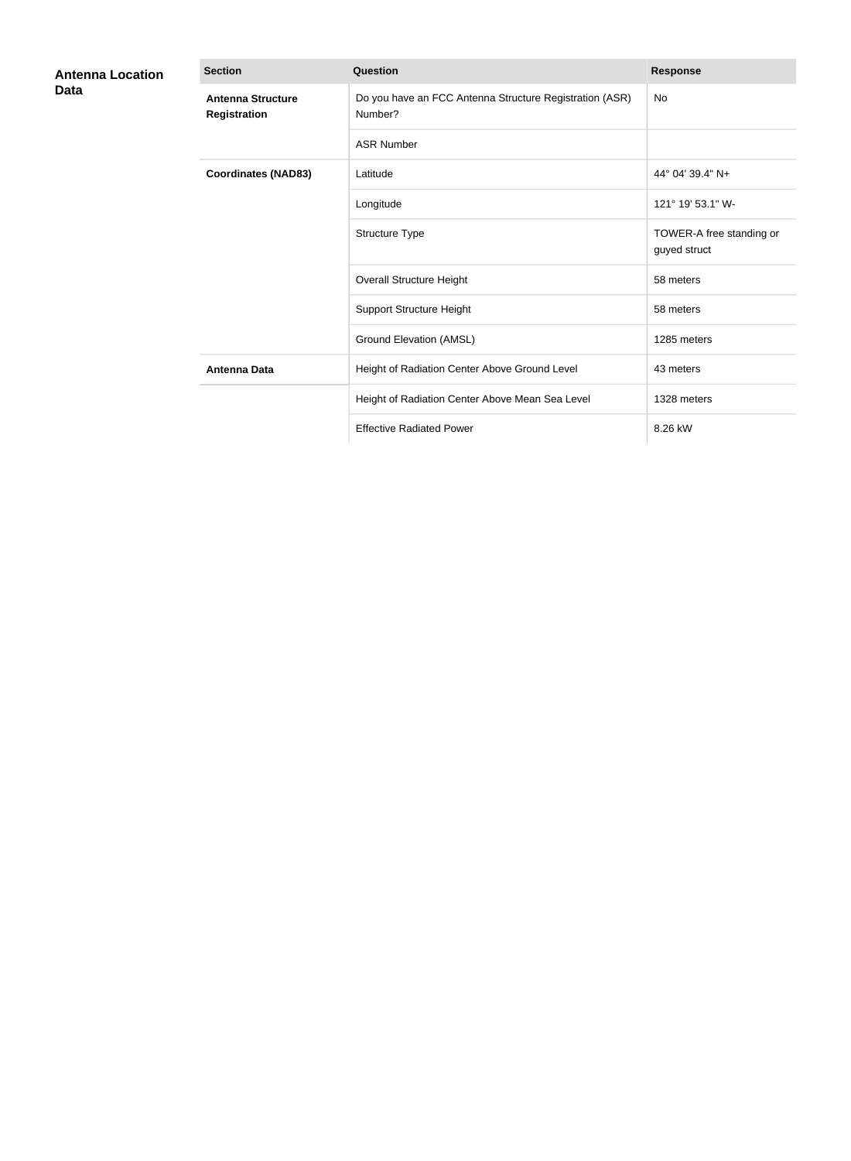| <b>Antenna Location</b><br><b>Data</b> | <b>Section</b>                                  | Question                                                           | <b>Response</b>                          |
|----------------------------------------|-------------------------------------------------|--------------------------------------------------------------------|------------------------------------------|
|                                        | <b>Antenna Structure</b><br><b>Registration</b> | Do you have an FCC Antenna Structure Registration (ASR)<br>Number? | No                                       |
|                                        |                                                 | <b>ASR Number</b>                                                  |                                          |
|                                        | <b>Coordinates (NAD83)</b>                      | Latitude                                                           | 44° 04′ 39.4″ N+                         |
|                                        |                                                 | Longitude                                                          | 121° 19' 53.1" W-                        |
|                                        |                                                 | Structure Type                                                     | TOWER-A free standing or<br>guyed struct |
|                                        |                                                 | <b>Overall Structure Height</b>                                    | 58 meters                                |
|                                        |                                                 | <b>Support Structure Height</b>                                    | 58 meters                                |
|                                        |                                                 | Ground Elevation (AMSL)                                            | 1285 meters                              |
|                                        | <b>Antenna Data</b>                             | Height of Radiation Center Above Ground Level                      | 43 meters                                |
|                                        |                                                 | Height of Radiation Center Above Mean Sea Level                    | 1328 meters                              |
|                                        |                                                 | <b>Effective Radiated Power</b>                                    | 8.26 kW                                  |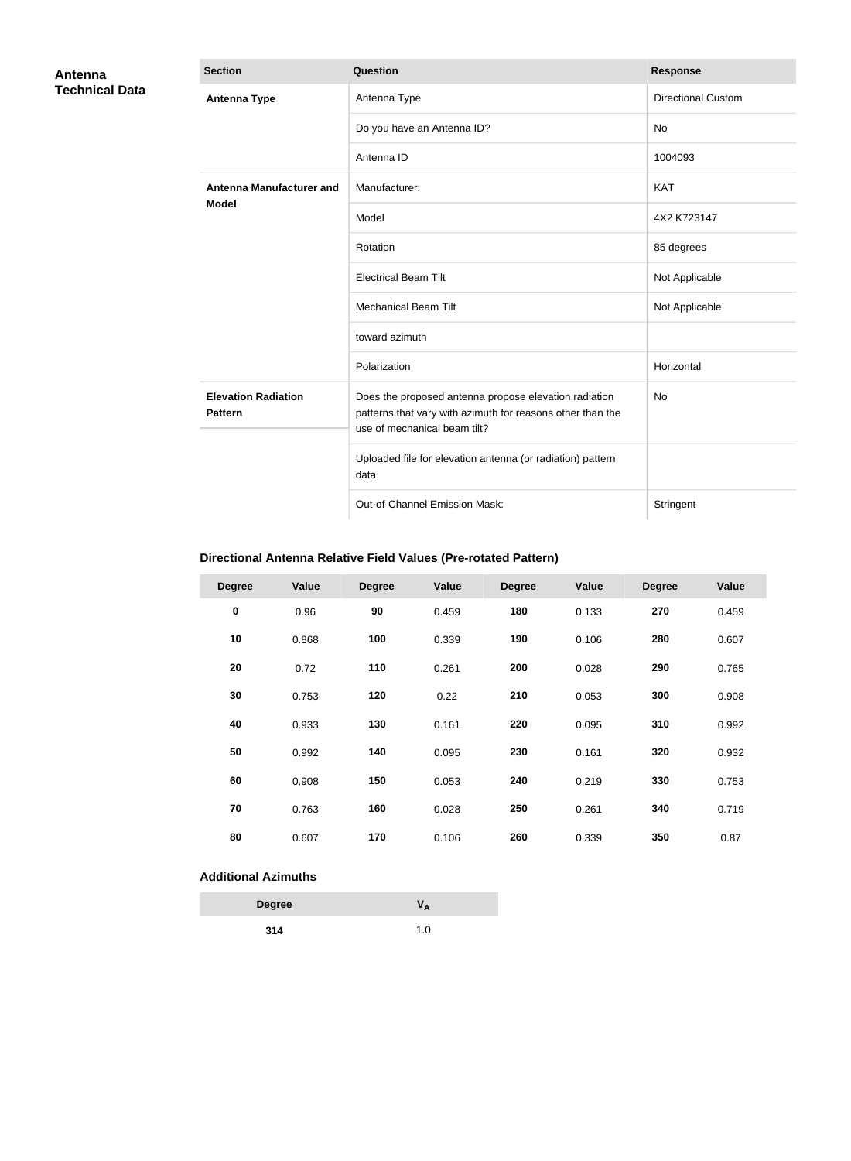| Antenna               | <b>Section</b>                               | <b>Question</b>                                                                                                                                     | <b>Response</b>           |
|-----------------------|----------------------------------------------|-----------------------------------------------------------------------------------------------------------------------------------------------------|---------------------------|
| <b>Technical Data</b> | <b>Antenna Type</b>                          | Antenna Type                                                                                                                                        | <b>Directional Custom</b> |
|                       |                                              | Do you have an Antenna ID?                                                                                                                          | No                        |
|                       |                                              | Antenna ID                                                                                                                                          | 1004093                   |
|                       | Antenna Manufacturer and                     | Manufacturer:                                                                                                                                       | <b>KAT</b>                |
|                       | <b>Model</b>                                 | Model                                                                                                                                               | 4X2 K723147               |
|                       |                                              | Rotation                                                                                                                                            | 85 degrees                |
|                       |                                              | <b>Electrical Beam Tilt</b>                                                                                                                         | Not Applicable            |
|                       |                                              | <b>Mechanical Beam Tilt</b>                                                                                                                         | Not Applicable            |
|                       |                                              | toward azimuth                                                                                                                                      |                           |
|                       |                                              | Polarization                                                                                                                                        | Horizontal                |
|                       | <b>Elevation Radiation</b><br><b>Pattern</b> | Does the proposed antenna propose elevation radiation<br>patterns that vary with azimuth for reasons other than the<br>use of mechanical beam tilt? | No                        |
|                       |                                              | Uploaded file for elevation antenna (or radiation) pattern<br>data                                                                                  |                           |
|                       |                                              | Out-of-Channel Emission Mask:                                                                                                                       | Stringent                 |

## **Directional Antenna Relative Field Values (Pre-rotated Pattern)**

| <b>Degree</b> | Value | <b>Degree</b> | Value | <b>Degree</b> | Value | <b>Degree</b> | Value |
|---------------|-------|---------------|-------|---------------|-------|---------------|-------|
| $\pmb{0}$     | 0.96  | 90            | 0.459 | 180           | 0.133 | 270           | 0.459 |
| 10            | 0.868 | 100           | 0.339 | 190           | 0.106 | 280           | 0.607 |
| 20            | 0.72  | 110           | 0.261 | 200           | 0.028 | 290           | 0.765 |
| 30            | 0.753 | 120           | 0.22  | 210           | 0.053 | 300           | 0.908 |
| 40            | 0.933 | 130           | 0.161 | 220           | 0.095 | 310           | 0.992 |
| 50            | 0.992 | 140           | 0.095 | 230           | 0.161 | 320           | 0.932 |
| 60            | 0.908 | 150           | 0.053 | 240           | 0.219 | 330           | 0.753 |
| 70            | 0.763 | 160           | 0.028 | 250           | 0.261 | 340           | 0.719 |
| 80            | 0.607 | 170           | 0.106 | 260           | 0.339 | 350           | 0.87  |

### **Additional Azimuths**

| <b>Degree</b> | Vд  |
|---------------|-----|
| 314           | 1.0 |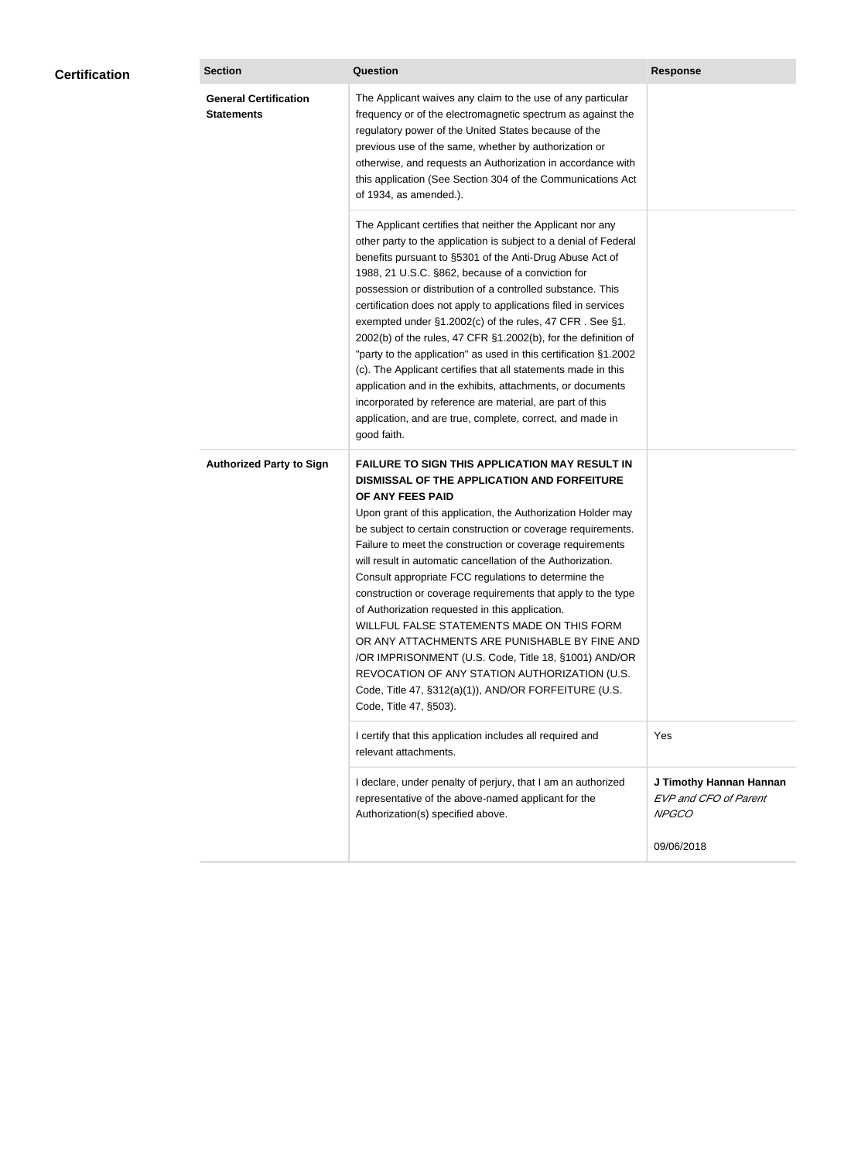| <b>Certification</b> | <b>Section</b>                                    | Question                                                                                                                                                                                                                                                                                                                                                                                                                                                                                                                                                                                                                                                                                                                                                                                                                                                  | <b>Response</b>                                                         |
|----------------------|---------------------------------------------------|-----------------------------------------------------------------------------------------------------------------------------------------------------------------------------------------------------------------------------------------------------------------------------------------------------------------------------------------------------------------------------------------------------------------------------------------------------------------------------------------------------------------------------------------------------------------------------------------------------------------------------------------------------------------------------------------------------------------------------------------------------------------------------------------------------------------------------------------------------------|-------------------------------------------------------------------------|
|                      | <b>General Certification</b><br><b>Statements</b> | The Applicant waives any claim to the use of any particular<br>frequency or of the electromagnetic spectrum as against the<br>regulatory power of the United States because of the<br>previous use of the same, whether by authorization or<br>otherwise, and requests an Authorization in accordance with<br>this application (See Section 304 of the Communications Act<br>of 1934, as amended.).                                                                                                                                                                                                                                                                                                                                                                                                                                                       |                                                                         |
|                      |                                                   | The Applicant certifies that neither the Applicant nor any<br>other party to the application is subject to a denial of Federal<br>benefits pursuant to §5301 of the Anti-Drug Abuse Act of<br>1988, 21 U.S.C. §862, because of a conviction for<br>possession or distribution of a controlled substance. This<br>certification does not apply to applications filed in services<br>exempted under §1.2002(c) of the rules, 47 CFR. See §1.<br>2002(b) of the rules, 47 CFR §1.2002(b), for the definition of<br>"party to the application" as used in this certification §1.2002<br>(c). The Applicant certifies that all statements made in this<br>application and in the exhibits, attachments, or documents<br>incorporated by reference are material, are part of this<br>application, and are true, complete, correct, and made in<br>good faith.   |                                                                         |
|                      | <b>Authorized Party to Sign</b>                   | <b>FAILURE TO SIGN THIS APPLICATION MAY RESULT IN</b><br>DISMISSAL OF THE APPLICATION AND FORFEITURE<br>OF ANY FEES PAID<br>Upon grant of this application, the Authorization Holder may<br>be subject to certain construction or coverage requirements.<br>Failure to meet the construction or coverage requirements<br>will result in automatic cancellation of the Authorization.<br>Consult appropriate FCC regulations to determine the<br>construction or coverage requirements that apply to the type<br>of Authorization requested in this application.<br>WILLFUL FALSE STATEMENTS MADE ON THIS FORM<br>OR ANY ATTACHMENTS ARE PUNISHABLE BY FINE AND<br>/OR IMPRISONMENT (U.S. Code, Title 18, §1001) AND/OR<br>REVOCATION OF ANY STATION AUTHORIZATION (U.S.<br>Code, Title 47, §312(a)(1)), AND/OR FORFEITURE (U.S.<br>Code, Title 47, §503). |                                                                         |
|                      |                                                   | I certify that this application includes all required and<br>relevant attachments.                                                                                                                                                                                                                                                                                                                                                                                                                                                                                                                                                                                                                                                                                                                                                                        | Yes                                                                     |
|                      |                                                   | I declare, under penalty of perjury, that I am an authorized<br>representative of the above-named applicant for the<br>Authorization(s) specified above.                                                                                                                                                                                                                                                                                                                                                                                                                                                                                                                                                                                                                                                                                                  | J Timothy Hannan Hannan<br><b>EVP and CFO of Parent</b><br><b>NPGCO</b> |
|                      |                                                   |                                                                                                                                                                                                                                                                                                                                                                                                                                                                                                                                                                                                                                                                                                                                                                                                                                                           | 09/06/2018                                                              |